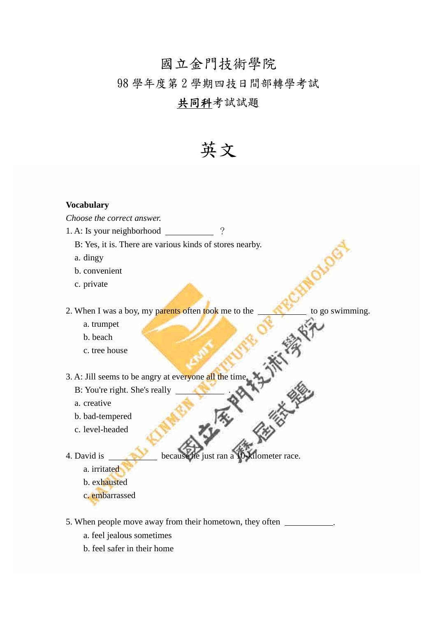# 國立金門技術學院

# 98 學年度第 2 學期四技日間部轉學考試

# 共同科考試試題

# 英文

# **Vocabulary**

## *Choose the correct answer.*

- 1. A: Is your neighborhood ?
	- B: Yes, it is. There are various kinds of stores nearby.
	- a. dingy
	- b. convenient
	- c. private

2. When I was a boy, my parents often took me to the to go swimming.

- a. trumpet
- b. beach
- c. tree house

3. A: Jill seems to be angry at everyone all the time.

- B: You're right. She's really .
- a. creative
- b. bad-tempered
- c. level-headed
- 4. David is because he just ran a 10-kilometer race.
	- a. irritated
	- b. exhausted
	- c. embarrassed
- 5. When people move away from their hometown, they often .
	- a. feel jealous sometimes
	- b. feel safer in their home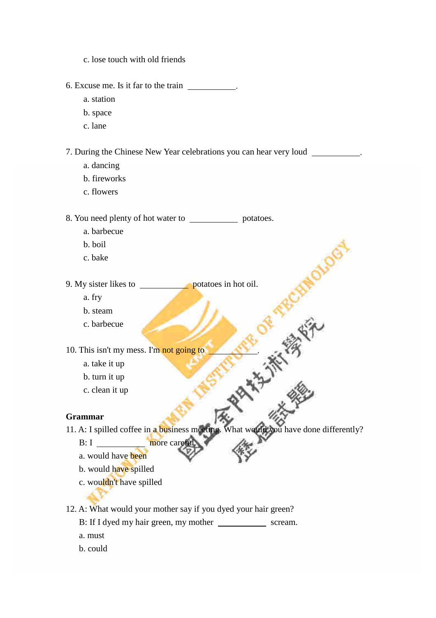- c. lose touch with old friends
- 6. Excuse me. Is it far to the train .
	- a. station
	- b. space
	- c. lane

7. During the Chinese New Year celebrations you can hear very loud .

- a. dancing
- b. fireworks
- c. flowers

8. You need plenty of hot water to \_\_\_\_\_\_\_\_\_\_\_\_\_\_\_\_ potatoes.

- a. barbecue
- b. boil
- c. bake

9. My sister likes to **potation** potatoes in hot oil.

- a. fry
- b. steam
- c. barbecue

10. This isn't my mess. I'm not going to

- a. take it up
- b. turn it up
- c. clean it up

## **Grammar**

11. A: I spilled coffee in a business meeting. What would you have done differently?

大学生

- B: I more careful.
- a. would have been
- b. would have spilled
- c. wouldn't have spilled

12. A: What would your mother say if you dyed your hair green?

- B: If I dyed my hair green, my mother \_\_\_\_\_\_\_\_\_\_\_\_\_\_\_ scream.
- a. must
- b. could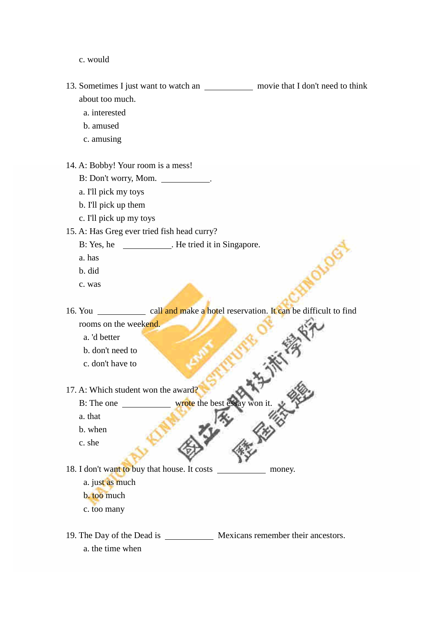c. would

13. Sometimes I just want to watch an movie that I don't need to think about too much.

- a. interested
- b. amused
- c. amusing
- 14. A: Bobby! Your room is a mess!
	- B: Don't worry, Mom.
	- a. I'll pick my toys
	- b. I'll pick up them
	- c. I'll pick up my toys
- 15. A: Has Greg ever tried fish head curry?
	- B: Yes, he \_\_\_\_\_\_\_\_\_\_\_\_. He tried it in Singapore.
	- a. has
	- b. did
	- c. was

16. You call and make a hotel reservation. It can be difficult to find rooms on the weekend.

- a. 'd better
- b. don't need to
- c. don't have to
- 17. A: Which student won the award?

B: The one wrote the best essay won it.

- a. that
- b. when
- c. she

18. I don't want to buy that house. It costs money.

- a. just as much
- b. too much
- c. too many

19. The Day of the Dead is Mexicans remember their ancestors. a. the time when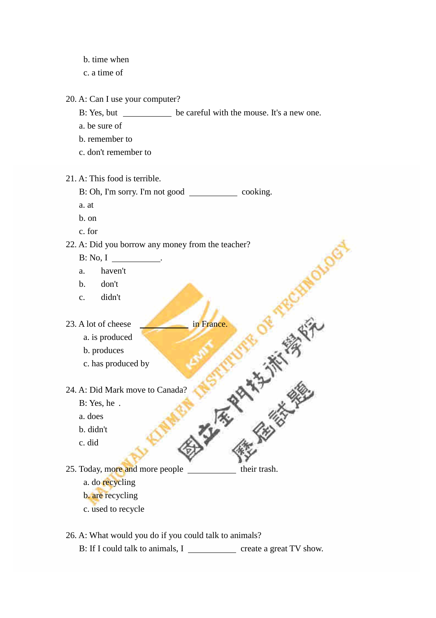- b. time when
- c. a time of

20. A: Can I use your computer?

B: Yes, but be careful with the mouse. It's a new one.

RCHIP

- a. be sure of
- b. remember to
- c. don't remember to

21. A: This food is terrible.

- B: Oh, I'm sorry. I'm not good cooking.
- a. at
- b. on
- c. for

22. A: Did you borrow any money from the teacher?

- B: No, I .
- a. haven't
- b. don't
- c. didn't
- - a. is produced
	- b. produces
	- c. has produced by
- 23. A lot of cheese<br>
a. is produced<br>
b. produces<br>
c. has produced by<br>
24. A: Did Mark move to Canada?<br>
B: Yes, he<br>
a. does<br>
b. didn't<br>
c. did 24. A: Did Mark move to Canada?
	- B: Yes, he .
	- a. does
	- b. didn't
	- c. did
- 25. Today, more and more people their trash. a. do recycling b. are recycling
	- c. used to recycle
- 26. A: What would you do if you could talk to animals?
	- B: If I could talk to animals, I create a great TV show.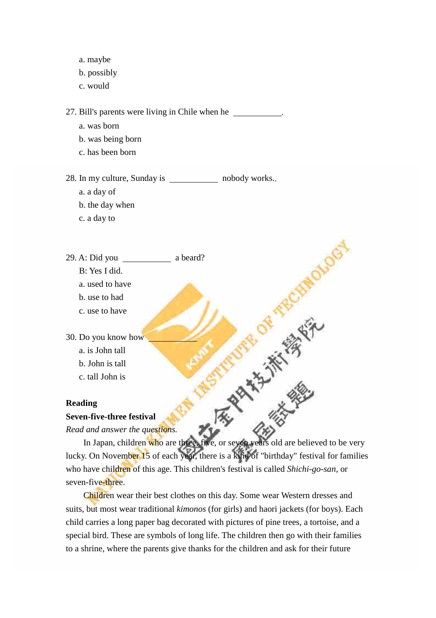- a. maybe
- b. possibly
- c. would

27. Bill's parents were living in Chile when he .

- a. was born
- b. was being born
- c. has been born

28. In my culture, Sunday is nobody works..

- a. a day of
- b. the day when
- c. a day to

## 29. A: Did you a beard?

- B: Yes I did.
- a. used to have
- b. use to had
- c. use to have

30. Do you know how

- a. is John tall
- b. John is tall
- c. tall John is

#### **Reading**

#### **Seven-five-three festival**

*Read and answer the questions.*

In Japan, children who are three, five, or seven years old are believed to be very lucky. On November 15 of each year, there is a kind of "birthday" festival for families who have children of this age. This children's festival is called *Shichi-go-san*, or seven-five-three.

**HALLAS** 

Children wear their best clothes on this day. Some wear Western dresses and suits, but most wear traditional *kimonos* (for girls) and haori jackets (for boys). Each child carries a long paper bag decorated with pictures of pine trees, a tortoise, and a special bird. These are symbols of long life. The children then go with their families to a shrine, where the parents give thanks for the children and ask for their future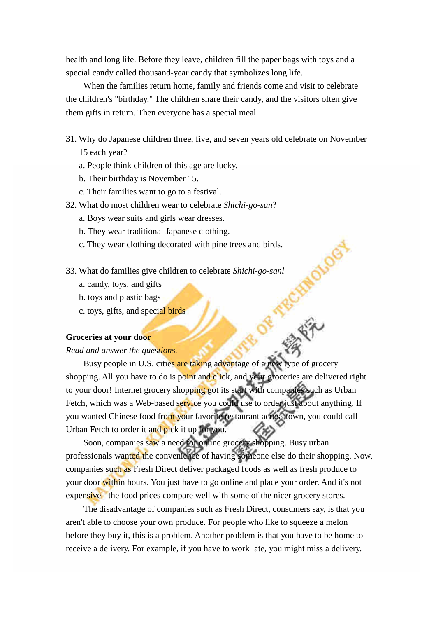health and long life. Before they leave, children fill the paper bags with toys and a special candy called thousand-year candy that symbolizes long life.

When the families return home, family and friends come and visit to celebrate the children's "birthday." The children share their candy, and the visitors often give them gifts in return. Then everyone has a special meal.

- 31. Why do Japanese children three, five, and seven years old celebrate on November 15 each year?
	- a. People think children of this age are lucky.
	- b. Their birthday is November 15.
	- c. Their families want to go to a festival.
- 32. What do most children wear to celebrate *Shichi-go-san*?
	- a. Boys wear suits and girls wear dresses.
	- b. They wear traditional Japanese clothing.
	- c. They wear clothing decorated with pine trees and birds.
- 33. What do families give children to celebrate *Shichi-go-sanl*
	- a. candy, toys, and gifts
	- b. toys and plastic bags
	- c. toys, gifts, and special birds

#### **Groceries at your door**

#### *Read and answer the questions.*

Busy people in U.S. cities are taking advantage of a new type of grocery shopping. All you have to do is point and click, and your groceries are delivered right to your door! Internet grocery shopping got its start with companies such as Urban Fetch, which was a Web-based service you could use to order just about anything. If you wanted Chinese food from your favorite restaurant across town, you could call Urban Fetch to order it and pick it up for you.

RCHIV

Soon, companies saw a need for online grocery shopping. Busy urban professionals wanted the convenience of having someone else do their shopping. Now, companies such as Fresh Direct deliver packaged foods as well as fresh produce to your door within hours. You just have to go online and place your order. And it's not expensive - the food prices compare well with some of the nicer grocery stores.

The disadvantage of companies such as Fresh Direct, consumers say, is that you aren't able to choose your own produce. For people who like to squeeze a melon before they buy it, this is a problem. Another problem is that you have to be home to receive a delivery. For example, if you have to work late, you might miss a delivery.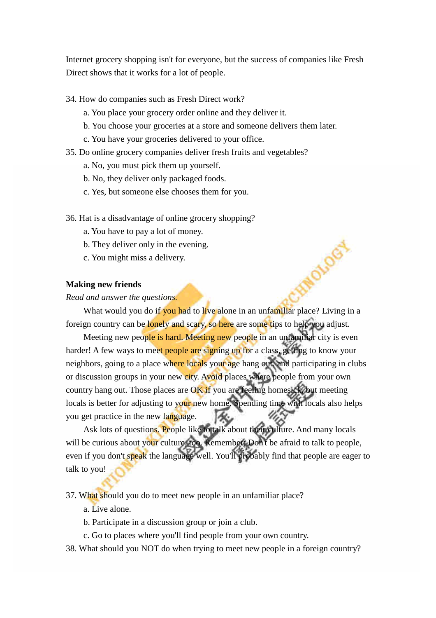Internet grocery shopping isn't for everyone, but the success of companies like Fresh Direct shows that it works for a lot of people.

34. How do companies such as Fresh Direct work?

- a. You place your grocery order online and they deliver it.
- b. You choose your groceries at a store and someone delivers them later.
- c. You have your groceries delivered to your office.
- 35. Do online grocery companies deliver fresh fruits and vegetables?
	- a. No, you must pick them up yourself.
	- b. No, they deliver only packaged foods.
	- c. Yes, but someone else chooses them for you.
- 36. Hat is a disadvantage of online grocery shopping?
	- a. You have to pay a lot of money.
	- b. They deliver only in the evening.
	- c. You might miss a delivery.

#### **Making new friends**

## *Read and answer the questions.*

What would you do if you had to live alone in an unfamiliar place? Living in a foreign country can be lonely and scary, so here are some tips to help you adjust.

MOVOGY

Meeting new people is hard. Meeting new people in an unfamiliar city is even harder! A few ways to meet people are signing up for a class, getting to know your neighbors, going to a place where locals your age hang out, and participating in clubs or discussion groups in your new city. Avoid places where people from your own country hang out. Those places are OK if you are feeling homesick, but meeting locals is better for adjusting to your new home. Spending time with locals also helps you get practice in the new language.

Ask lots of questions. People like to talk about their culture. And many locals will be curious about your culture, too. Remember: Don't be afraid to talk to people, even if you don't speak the language well. You'll probably find that people are eager to talk to you!

37. What should you do to meet new people in an unfamiliar place?

- a. Live alone.
- b. Participate in a discussion group or join a club.
- c. Go to places where you'll find people from your own country.
- 38. What should you NOT do when trying to meet new people in a foreign country?